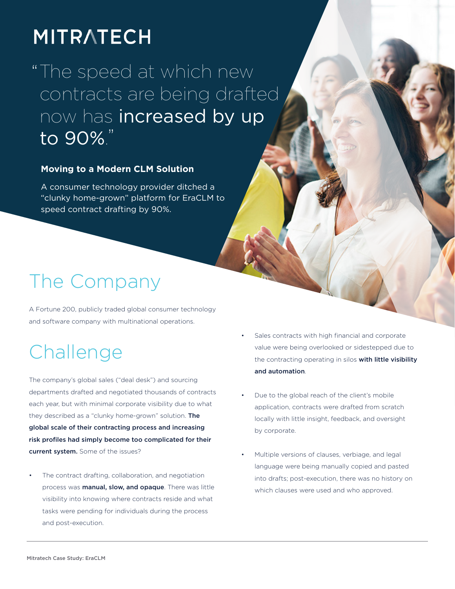# **MITRATECH**

" The speed at which new " to 90%.contracts are being drafted now has increased by up

#### **Moving to a Modern CLM Solution**

A consumer technology provider ditched a "clunky home-grown" platform for EraCLM to speed contract drafting by 90%.

# The Company

A Fortune 200, publicly traded global consumer technology and software company with multinational operations.

# Challenge

The company's global sales ("deal desk") and sourcing departments drafted and negotiated thousands of contracts each year, but with minimal corporate visibility due to what they described as a "clunky home-grown" solution. The global scale of their contracting process and increasing risk profiles had simply become too complicated for their current system. Some of the issues?

The contract drafting, collaboration, and negotiation process was manual, slow, and opaque. There was little visibility into knowing where contracts reside and what tasks were pending for individuals during the process and post-execution.

- Sales contracts with high financial and corporate value were being overlooked or sidestepped due to the contracting operating in silos with little visibility and automation.
- Due to the global reach of the client's mobile application, contracts were drafted from scratch locally with little insight, feedback, and oversight by corporate.
- Multiple versions of clauses, verbiage, and legal language were being manually copied and pasted into drafts; post-execution, there was no history on which clauses were used and who approved.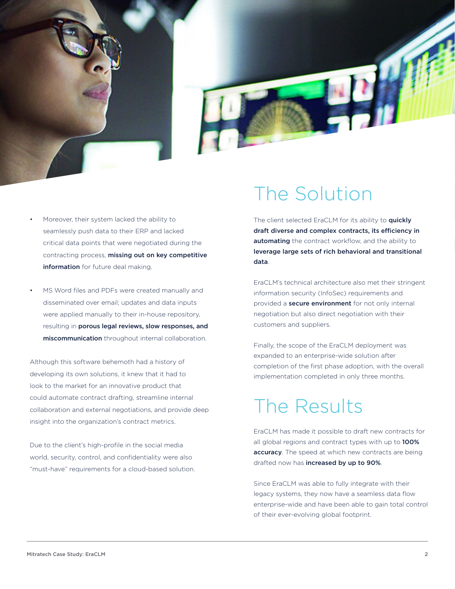



- Moreover, their system lacked the ability to seamlessly push data to their ERP and lacked critical data points that were negotiated during the contracting process, missing out on key competitive information for future deal making.
- MS Word files and PDFs were created manually and disseminated over email; updates and data inputs were applied manually to their in-house repository, resulting in porous legal reviews, slow responses, and miscommunication throughout internal collaboration.

Although this software behemoth had a history of developing its own solutions, it knew that it had to look to the market for an innovative product that could automate contract drafting, streamline internal collaboration and external negotiations, and provide deep insight into the organization's contract metrics.

Due to the client's high-profile in the social media world, security, control, and confidentiality were also "must-have" requirements for a cloud-based solution. The client selected EraCLM for its ability to quickly draft diverse and complex contracts, its efficiency in automating the contract workflow, and the ability to leverage large sets of rich behavioral and transitional data.

EraCLM's technical architecture also met their stringent information security (InfoSec) requirements and provided a **secure environment** for not only internal negotiation but also direct negotiation with their customers and suppliers.

Finally, the scope of the EraCLM deployment was expanded to an enterprise-wide solution after completion of the first phase adoption, with the overall implementation completed in only three months.

### The Results

EraCLM has made it possible to draft new contracts for all global regions and contract types with up to 100% accuracy. The speed at which new contracts are being drafted now has increased by up to 90%.

Since EraCLM was able to fully integrate with their legacy systems, they now have a seamless data flow enterprise-wide and have been able to gain total control of their ever-evolving global footprint.